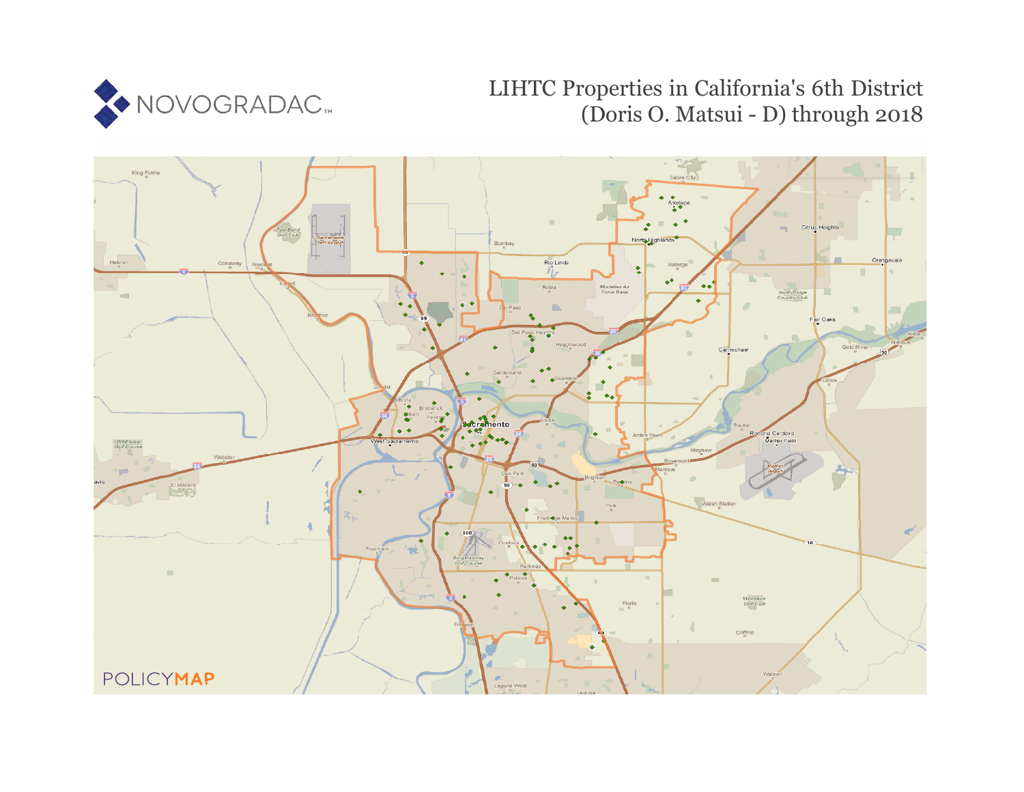

# LIHTC Properties in California's 6th District (Doris O. Matsui - D) through 2018

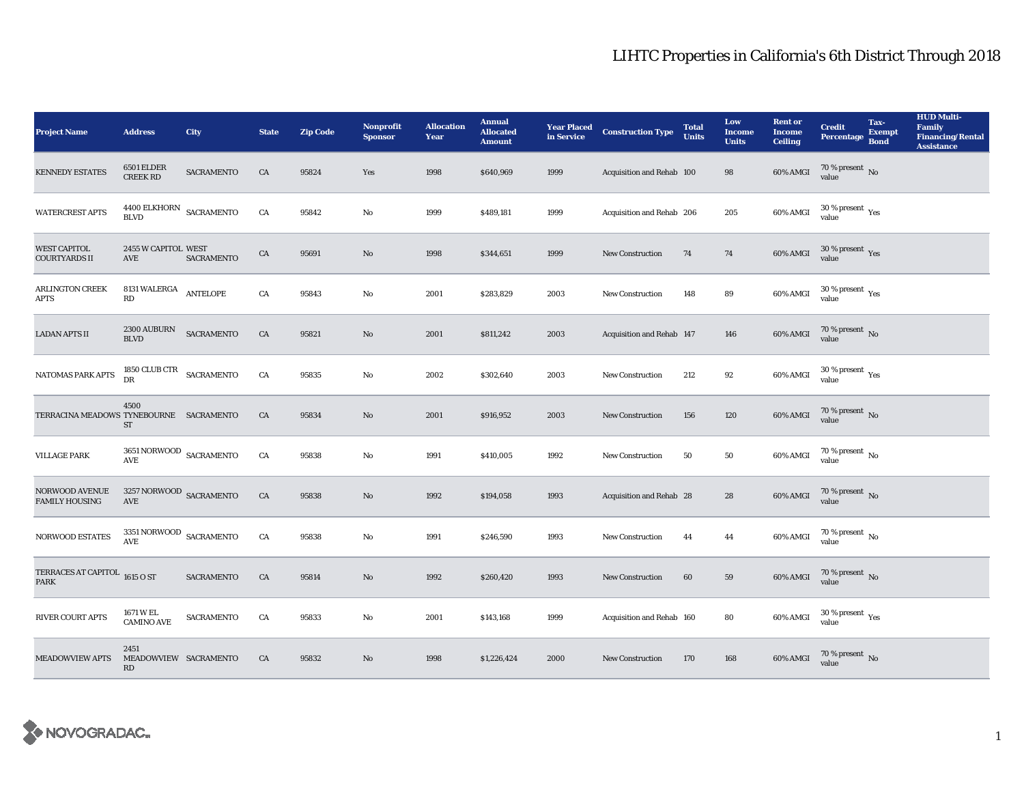| <b>Project Name</b>                          | <b>Address</b>                                             | City              | <b>State</b> | <b>Zip Code</b> | <b>Nonprofit</b><br><b>Sponsor</b> | <b>Allocation</b><br>Year | <b>Annual</b><br><b>Allocated</b><br><b>Amount</b> |      | <b>Year Placed Construction Type</b><br>in Service | <b>Total</b><br><b>Units</b> | Low<br><b>Income</b><br><b>Units</b> | <b>Rent or</b><br><b>Income</b><br><b>Ceiling</b> | <b>Credit</b><br>Percentage                     | Tax-<br><b>Exempt</b><br><b>Bond</b> | <b>HUD Multi-</b><br>Family<br><b>Financing/Rental</b><br><b>Assistance</b> |
|----------------------------------------------|------------------------------------------------------------|-------------------|--------------|-----------------|------------------------------------|---------------------------|----------------------------------------------------|------|----------------------------------------------------|------------------------------|--------------------------------------|---------------------------------------------------|-------------------------------------------------|--------------------------------------|-----------------------------------------------------------------------------|
| <b>KENNEDY ESTATES</b>                       | <b>6501 ELDER</b><br><b>CREEK RD</b>                       | <b>SACRAMENTO</b> | CA           | 95824           | Yes                                | 1998                      | \$640,969                                          | 1999 | Acquisition and Rehab 100                          |                              | 98                                   | 60% AMGI                                          | 70 % present $\,$ No $\,$<br>value              |                                      |                                                                             |
| <b>WATERCREST APTS</b>                       | 4400 ELKHORN<br><b>BLVD</b>                                | SACRAMENTO        | CA           | 95842           | $\mathbf{No}$                      | 1999                      | \$489,181                                          | 1999 | Acquisition and Rehab 206                          |                              | 205                                  | 60% AMGI                                          | $30\,\%$ present $\,$ Yes value                 |                                      |                                                                             |
| <b>WEST CAPITOL</b><br><b>COURTYARDS II</b>  | 2455 W CAPITOL WEST<br>AVE                                 | SACRAMENTO        | ${\rm CA}$   | 95691           | $\rm\thinspace No$                 | 1998                      | \$344,651                                          | 1999 | <b>New Construction</b>                            | 74                           | $\bf 74$                             | 60% AMGI                                          | $30\,\%$ present $\,\mathrm{Yes}$ value         |                                      |                                                                             |
| <b>ARLINGTON CREEK</b><br><b>APTS</b>        | 8131 WALERGA ANTELOPE<br>$\mathbf{R}\mathbf{D}$            |                   | ${\rm CA}$   | 95843           | $\mathbf{N}\mathbf{o}$             | 2001                      | \$283,829                                          | 2003 | New Construction                                   | 148                          | 89                                   | 60% AMGI                                          | $30\,\%$ present $\rm\thinspace_{Yes}$<br>value |                                      |                                                                             |
| <b>LADAN APTS II</b>                         | <b>2300 AUBURN</b><br><b>BLVD</b>                          | SACRAMENTO        | ${\rm CA}$   | 95821           | $\rm No$                           | 2001                      | \$811,242                                          | 2003 | Acquisition and Rehab 147                          |                              | 146                                  | $60\%$ AMGI                                       | $70\,\%$ present $\,$ No value                  |                                      |                                                                             |
| NATOMAS PARK APTS                            | 1850 CLUB CTR $_{\rm SACRAMENTO}$<br>DR                    |                   | ${\rm CA}$   | 95835           | $_{\rm No}$                        | 2002                      | \$302,640                                          | 2003 | <b>New Construction</b>                            | 212                          | 92                                   | 60% AMGI                                          | $30\,\%$ present $\,$ Yes value                 |                                      |                                                                             |
| TERRACINA MEADOWS TYNEBOURNE SACRAMENTO      | 4500<br><b>ST</b>                                          |                   | CA           | 95834           | $\rm No$                           | 2001                      | \$916,952                                          | 2003 | New Construction                                   | 156                          | 120                                  | $60\%$ AMGI                                       | $70\,\%$ present $\,$ No value                  |                                      |                                                                             |
| <b>VILLAGE PARK</b>                          | $3651\, \mbox{NORMOOD}$ SACRAMENTO<br>AVE                  |                   | ${\rm CA}$   | 95838           | $\mathbf{No}$                      | 1991                      | \$410,005                                          | 1992 | New Construction                                   | 50                           | 50                                   | 60% AMGI                                          | $70\,\%$ present $\,$ No value                  |                                      |                                                                             |
| NORWOOD AVENUE<br><b>FAMILY HOUSING</b>      | $3257\, \mbox{NORMOOD}$ SACRAMENTO<br>$\operatorname{AVE}$ |                   | ${\rm CA}$   | 95838           | $\rm No$                           | 1992                      | \$194,058                                          | 1993 | Acquisition and Rehab 28                           |                              | 28                                   | 60% AMGI                                          | $70\,\%$ present $\,$ No value                  |                                      |                                                                             |
| NORWOOD ESTATES                              | $3351\, \mbox{NORMOOD}$ SACRAMENTO<br><b>AVE</b>           |                   | CA           | 95838           | $\mathbf{No}$                      | 1991                      | \$246,590                                          | 1993 | New Construction                                   | 44                           | 44                                   | 60% AMGI                                          | $70\,\%$ present $\,$ No value                  |                                      |                                                                             |
| TERRACES AT CAPITOL 1615 O ST<br><b>PARK</b> |                                                            | SACRAMENTO        | ${\rm CA}$   | 95814           | $\rm No$                           | 1992                      | \$260,420                                          | 1993 | New Construction                                   | 60                           | ${\bf 59}$                           | $60\%$ AMGI                                       | $70$ % present $\,$ No value                    |                                      |                                                                             |
| <b>RIVER COURT APTS</b>                      | 1671 W EL<br><b>CAMINO AVE</b>                             | SACRAMENTO        | CA           | 95833           | $\mathbf{No}$                      | 2001                      | \$143,168                                          | 1999 | Acquisition and Rehab 160                          |                              | 80                                   | 60% AMGI                                          | $30$ % present $\,$ $\rm Yes$<br>value          |                                      |                                                                             |
| <b>MEADOWVIEW APTS</b>                       | 2451<br>MEADOWVIEW SACRAMENTO<br>$\mathbf{R}\mathbf{D}$    |                   | CA           | 95832           | $\rm No$                           | 1998                      | \$1,226,424                                        | 2000 | <b>New Construction</b>                            | 170                          | 168                                  | 60% AMGI                                          | $70$ % present $\,$ No value                    |                                      |                                                                             |

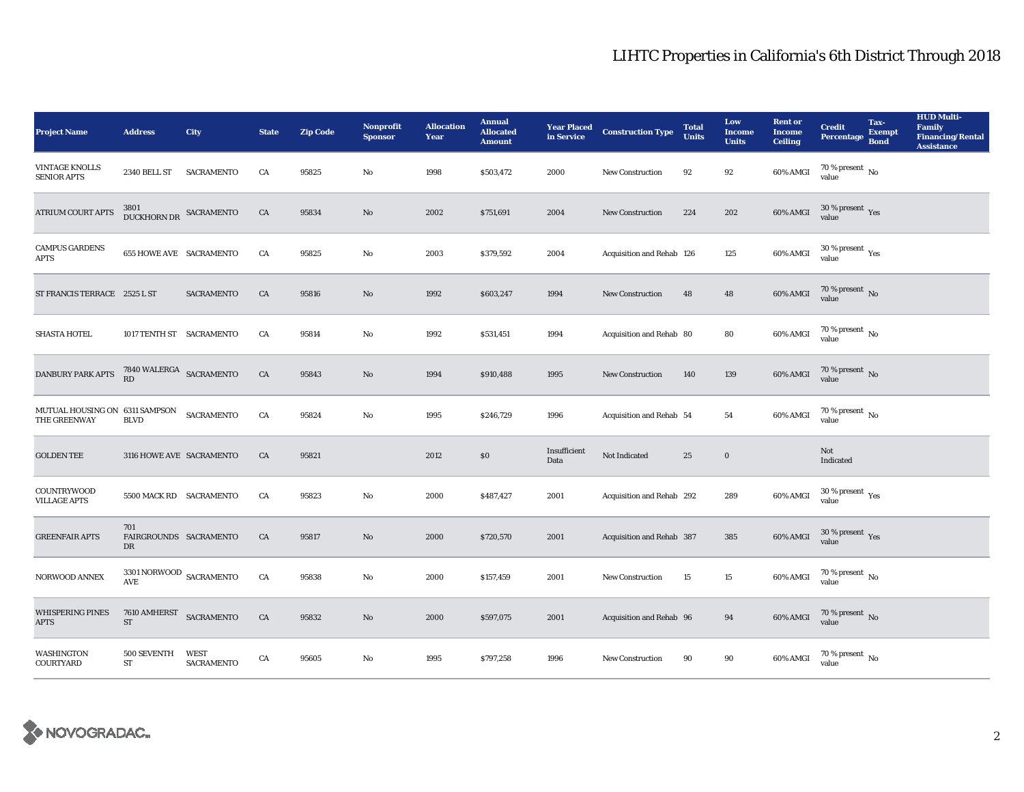| <b>Project Name</b>                            | <b>Address</b>                                                        | City                             | <b>State</b> | <b>Zip Code</b> | <b>Nonprofit</b><br><b>Sponsor</b> | <b>Allocation</b><br>Year | <b>Annual</b><br><b>Allocated</b><br><b>Amount</b> | <b>Year Placed<br/>in Service</b> | <b>Construction Type</b>  | <b>Total</b><br><b>Units</b> | Low<br><b>Income</b><br><b>Units</b> | <b>Rent or</b><br><b>Income</b><br><b>Ceiling</b> | <b>Credit</b><br><b>Percentage</b>      | Tax-<br><b>Exempt</b><br><b>Bond</b> | <b>HUD Multi-</b><br>Family<br><b>Financing/Rental</b><br><b>Assistance</b> |
|------------------------------------------------|-----------------------------------------------------------------------|----------------------------------|--------------|-----------------|------------------------------------|---------------------------|----------------------------------------------------|-----------------------------------|---------------------------|------------------------------|--------------------------------------|---------------------------------------------------|-----------------------------------------|--------------------------------------|-----------------------------------------------------------------------------|
| VINTAGE KNOLLS<br><b>SENIOR APTS</b>           | <b>2340 BELL ST</b>                                                   | SACRAMENTO                       | CA           | 95825           | No                                 | 1998                      | \$503,472                                          | 2000                              | New Construction          | 92                           | 92                                   | 60% AMGI                                          | 70 % present $\,$ No $\,$<br>value      |                                      |                                                                             |
| <b>ATRIUM COURT APTS</b>                       | DUCKHORN DR SACRAMENTO                                                |                                  | CA           | 95834           | $\mathbf{No}$                      | 2002                      | \$751,691                                          | 2004                              | New Construction          | 224                          | 202                                  | 60% AMGI                                          | $30\,\%$ present $\,$ Yes value         |                                      |                                                                             |
| <b>CAMPUS GARDENS</b><br><b>APTS</b>           | <b>655 HOWE AVE SACRAMENTO</b>                                        |                                  | CA           | 95825           | No                                 | 2003                      | \$379,592                                          | 2004                              | Acquisition and Rehab 126 |                              | 125                                  | 60% AMGI                                          | $30\ \%$ present $\ \ \gamma_{\rm e s}$ |                                      |                                                                             |
| ST FRANCIS TERRACE 2525 L ST                   |                                                                       | <b>SACRAMENTO</b>                | CA           | 95816           | $\mathbf{N}\mathbf{o}$             | 1992                      | \$603,247                                          | 1994                              | <b>New Construction</b>   | 48                           | 48                                   | 60% AMGI                                          | $70$ % present $\,$ No value            |                                      |                                                                             |
| <b>SHASTA HOTEL</b>                            | 1017 TENTH ST SACRAMENTO                                              |                                  | CA           | 95814           | No                                 | 1992                      | \$531,451                                          | 1994                              | Acquisition and Rehab 80  |                              | 80                                   | 60% AMGI                                          | $70$ % present $\,$ No value            |                                      |                                                                             |
| DANBURY PARK APTS                              | $7840\,\rm WALERGA$ SACRAMENTO RD                                     |                                  | CA           | 95843           | No                                 | 1994                      | \$910,488                                          | 1995                              | <b>New Construction</b>   | 140                          | 139                                  | 60% AMGI                                          | $70$ % present $\,$ No value            |                                      |                                                                             |
| MUTUAL HOUSING ON 6311 SAMPSON<br>THE GREENWAY | <b>BLVD</b>                                                           | SACRAMENTO                       | CA           | 95824           | No                                 | 1995                      | \$246,729                                          | 1996                              | Acquisition and Rehab 54  |                              | 54                                   | 60% AMGI                                          | $70$ % present $\,$ No value            |                                      |                                                                             |
| <b>GOLDEN TEE</b>                              | 3116 HOWE AVE SACRAMENTO                                              |                                  | CA           | 95821           |                                    | 2012                      | \$0                                                | Insufficient<br>Data              | Not Indicated             | 25                           | $\bf{0}$                             |                                                   | Not<br>Indicated                        |                                      |                                                                             |
| <b>COUNTRYWOOD</b><br><b>VILLAGE APTS</b>      | 5500 MACK RD SACRAMENTO                                               |                                  | CA           | 95823           | No                                 | 2000                      | \$487,427                                          | 2001                              | Acquisition and Rehab 292 |                              | 289                                  | 60% AMGI                                          | $30\,\%$ present $\,\mathrm{Yes}$ value |                                      |                                                                             |
| <b>GREENFAIR APTS</b>                          | 701<br>FAIRGROUNDS SACRAMENTO<br>DR                                   |                                  | CA           | 95817           | No                                 | 2000                      | \$720,570                                          | 2001                              | Acquisition and Rehab 387 |                              | 385                                  | <b>60% AMGI</b>                                   | $30\,\%$ present $\,\mathrm{Yes}$ value |                                      |                                                                             |
| NORWOOD ANNEX                                  | $3301\,\mbox{NORMOOD}$ SACRAMENTO<br>$\mathbf{A}\mathbf{V}\mathbf{E}$ |                                  | CA           | 95838           | No                                 | 2000                      | \$157,459                                          | 2001                              | New Construction          | 15                           | $15\,$                               | 60% AMGI                                          | $70\,\%$ present $\,$ No value          |                                      |                                                                             |
| <b>WHISPERING PINES</b><br><b>APTS</b>         | $7610$ AMHERST $$\sf SACRAMENTO$$<br>ST                               |                                  | ${\rm CA}$   | 95832           | No                                 | 2000                      | \$597,075                                          | 2001                              | Acquisition and Rehab 96  |                              | 94                                   | 60% AMGI                                          | $70\,\%$ present $\,$ No value          |                                      |                                                                             |
| WASHINGTON<br>COURTYARD                        | 500 SEVENTH<br>ST                                                     | <b>WEST</b><br><b>SACRAMENTO</b> | CA           | 95605           | No                                 | 1995                      | \$797,258                                          | 1996                              | <b>New Construction</b>   | 90                           | 90                                   | 60% AMGI                                          | $70$ % present $\,$ No $\,$<br>value    |                                      |                                                                             |

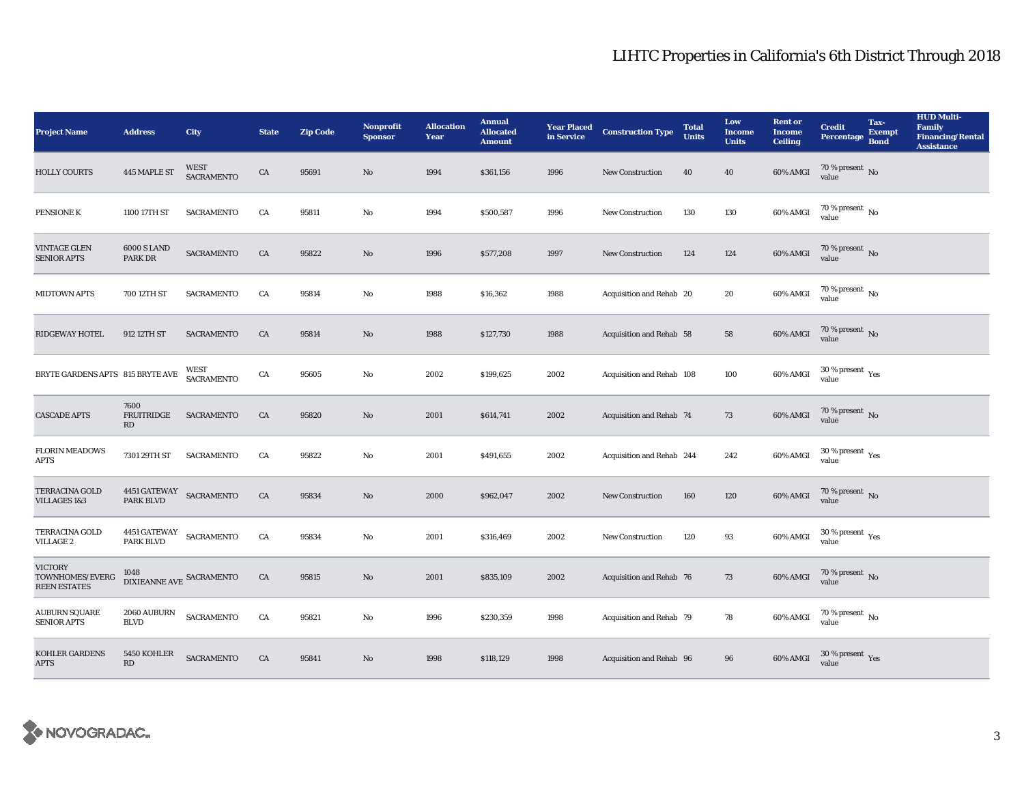| <b>Project Name</b>                                      | <b>Address</b>                                               | City                      | <b>State</b> | <b>Zip Code</b> | <b>Nonprofit</b><br><b>Sponsor</b> | <b>Allocation</b><br>Year | <b>Annual</b><br><b>Allocated</b><br><b>Amount</b> |      | <b>Year Placed Construction Type</b><br>in Service | <b>Total</b><br><b>Units</b> | Low<br><b>Income</b><br><b>Units</b> | <b>Rent or</b><br><b>Income</b><br><b>Ceiling</b> | <b>Credit</b><br><b>Percentage</b>      | Tax-<br><b>Exempt</b><br><b>Bond</b> | <b>HUD Multi-</b><br>Family<br><b>Financing/Rental</b><br><b>Assistance</b> |
|----------------------------------------------------------|--------------------------------------------------------------|---------------------------|--------------|-----------------|------------------------------------|---------------------------|----------------------------------------------------|------|----------------------------------------------------|------------------------------|--------------------------------------|---------------------------------------------------|-----------------------------------------|--------------------------------------|-----------------------------------------------------------------------------|
| <b>HOLLY COURTS</b>                                      | 445 MAPLE ST                                                 | <b>WEST</b><br>SACRAMENTO | CA           | 95691           | $\mathbf{No}$                      | 1994                      | \$361,156                                          | 1996 | <b>New Construction</b>                            | 40                           | 40                                   | 60% AMGI                                          | 70 % present $\hbox{~No}$<br>value      |                                      |                                                                             |
| PENSIONE K                                               | 1100 17TH ST                                                 | <b>SACRAMENTO</b>         | CA           | 95811           | $\mathbf{No}$                      | 1994                      | \$500,587                                          | 1996 | New Construction                                   | 130                          | 130                                  | $60\%$ AMGI                                       | $70$ % present $\,$ No value            |                                      |                                                                             |
| <b>VINTAGE GLEN</b><br><b>SENIOR APTS</b>                | <b>6000 S LAND</b><br>PARK DR                                | SACRAMENTO                | ${\rm CA}$   | 95822           | $\mathbf{No}$                      | 1996                      | \$577,208                                          | 1997 | <b>New Construction</b>                            | 124                          | 124                                  | 60% AMGI                                          | $70$ % present $\,$ No value            |                                      |                                                                             |
| <b>MIDTOWN APTS</b>                                      | 700 12TH ST                                                  | <b>SACRAMENTO</b>         | CA           | 95814           | $\mathbf{N}\mathbf{o}$             | 1988                      | \$16,362                                           | 1988 | Acquisition and Rehab 20                           |                              | 20                                   | 60% AMGI                                          | 70 % present $\,$ No $\,$<br>value      |                                      |                                                                             |
| <b>RIDGEWAY HOTEL</b>                                    | 912 12TH ST                                                  | <b>SACRAMENTO</b>         | CA           | 95814           | $\rm No$                           | 1988                      | \$127,730                                          | 1988 | Acquisition and Rehab 58                           |                              | 58                                   | $60\%$ AMGI                                       | $70$ % present $\,$ No value            |                                      |                                                                             |
| BRYTE GARDENS APTS 815 BRYTE AVE                         |                                                              | WEST<br>SACRAMENTO        | CA           | 95605           | No                                 | 2002                      | \$199,625                                          | 2002 | Acquisition and Rehab 108                          |                              | 100                                  | 60% AMGI                                          | $30\,\%$ present $\,$ Yes value         |                                      |                                                                             |
| <b>CASCADE APTS</b>                                      | 7600<br>FRUITRIDGE<br>RD                                     | SACRAMENTO                | CA           | 95820           | $\mathbf{N}\mathbf{o}$             | 2001                      | \$614,741                                          | 2002 | Acquisition and Rehab 74                           |                              | 73                                   | 60% AMGI                                          | $70\,\%$ present $\,$ No value          |                                      |                                                                             |
| <b>FLORIN MEADOWS</b><br><b>APTS</b>                     | 7301 29TH ST                                                 | SACRAMENTO                | CA           | 95822           | No                                 | 2001                      | \$491,655                                          | 2002 | Acquisition and Rehab 244                          |                              | 242                                  | 60% AMGI                                          | $30\,\%$ present $\,$ Yes value         |                                      |                                                                             |
| <b>TERRACINA GOLD</b><br>VILLAGES 1&3                    | $4451\,\mathrm{GATEWAY} \quad \mathrm{SACRAMENTO}$ PARK BLVD |                           | ${\rm CA}$   | 95834           | $\mathbf{N}\mathbf{o}$             | 2000                      | \$962,047                                          | 2002 | New Construction                                   | 160                          | 120                                  | 60% AMGI                                          | $70$ % present $\,$ No value            |                                      |                                                                             |
| TERRACINA GOLD<br><b>VILLAGE 2</b>                       | 4451 GATEWAY SACRAMENTO<br>PARK BLVD                         |                           | ${\rm CA}$   | 95834           | $\rm No$                           | 2001                      | \$316,469                                          | 2002 | New Construction                                   | 120                          | $\bf 93$                             | 60% AMGI                                          | $30\,\%$ present $\,\mathrm{Yes}$ value |                                      |                                                                             |
| <b>VICTORY</b><br>TOWNHOMES/EVERG<br><b>REEN ESTATES</b> | 1048<br>DIXIEANNE AVE SACRAMENTO                             |                           | ${\rm CA}$   | 95815           | $\rm No$                           | 2001                      | \$835,109                                          | 2002 | <b>Acquisition and Rehab 76</b>                    |                              | 73                                   | $60\%$ AMGI                                       | $70\,\%$ present $\,$ No value          |                                      |                                                                             |
| <b>AUBURN SQUARE</b><br><b>SENIOR APTS</b>               | $2060\,$ AUBURN<br><b>BLVD</b>                               | SACRAMENTO                | ${\rm CA}$   | 95821           | $\mathbf{No}$                      | 1996                      | \$230,359                                          | 1998 | Acquisition and Rehab 79                           |                              | 78                                   | 60% AMGI                                          | $70\,\%$ present $\,$ No value          |                                      |                                                                             |
| KOHLER GARDENS<br><b>APTS</b>                            | 5450 KOHLER<br>RD                                            | <b>SACRAMENTO</b>         | CA           | 95841           | No                                 | 1998                      | \$118,129                                          | 1998 | Acquisition and Rehab 96                           |                              | ${\bf 96}$                           | 60% AMGI                                          | $30\,\%$ present $\,\mathrm{Yes}$ value |                                      |                                                                             |

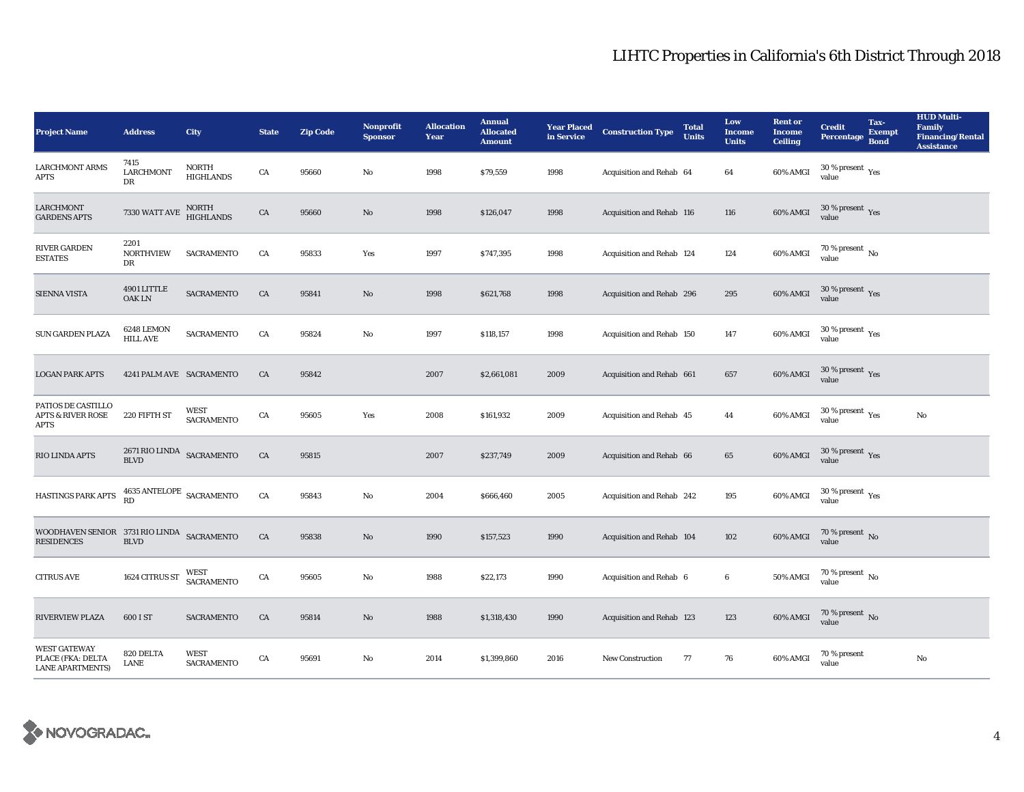| <b>Project Name</b>                                                 | <b>Address</b>                                    | City                             | <b>State</b> | <b>Zip Code</b> | Nonprofit<br><b>Sponsor</b> | <b>Allocation</b><br>Year | <b>Annual</b><br><b>Allocated</b><br><b>Amount</b> | <b>Year Placed<br/>in Service</b> | <b>Construction Type</b>  | <b>Total</b><br><b>Units</b> | Low<br><b>Income</b><br><b>Units</b> | <b>Rent or</b><br><b>Income</b><br><b>Ceiling</b> | <b>Credit</b><br><b>Percentage</b>            | Tax-<br><b>Exempt</b><br><b>Bond</b> | <b>HUD Multi-</b><br><b>Family</b><br><b>Financing/Rental</b><br><b>Assistance</b> |
|---------------------------------------------------------------------|---------------------------------------------------|----------------------------------|--------------|-----------------|-----------------------------|---------------------------|----------------------------------------------------|-----------------------------------|---------------------------|------------------------------|--------------------------------------|---------------------------------------------------|-----------------------------------------------|--------------------------------------|------------------------------------------------------------------------------------|
| <b>LARCHMONT ARMS</b><br><b>APTS</b>                                | 7415<br><b>LARCHMONT</b><br>DR                    | <b>NORTH</b><br><b>HIGHLANDS</b> | ${\rm CA}$   | 95660           | No                          | 1998                      | \$79,559                                           | 1998                              | Acquisition and Rehab 64  |                              | 64                                   | 60% AMGI                                          | $30$ % present $\rm \gamma_{\rm PS}$<br>value |                                      |                                                                                    |
| <b>LARCHMONT</b><br><b>GARDENS APTS</b>                             | 7330 WATT AVE                                     | NORTH<br>HIGHLANDS               | ${\rm CA}$   | 95660           | $\mathbf{No}$               | 1998                      | \$126,047                                          | 1998                              | Acquisition and Rehab 116 |                              | 116                                  | <b>60% AMGI</b>                                   | $30\,\%$ present $\,$ Yes value               |                                      |                                                                                    |
| <b>RIVER GARDEN</b><br><b>ESTATES</b>                               | 2201<br><b>NORTHVIEW</b><br>DR                    | <b>SACRAMENTO</b>                | CA           | 95833           | Yes                         | 1997                      | \$747,395                                          | 1998                              | Acquisition and Rehab 124 |                              | 124                                  | 60% AMGI                                          | $70$ % present $\,$ No value                  |                                      |                                                                                    |
| <b>SIENNA VISTA</b>                                                 | 4901 LITTLE<br><b>OAKLN</b>                       | SACRAMENTO                       | CA           | 95841           | $\mathbf{N}\mathbf{o}$      | 1998                      | \$621,768                                          | 1998                              | Acquisition and Rehab 296 |                              | 295                                  | 60% AMGI                                          | $30\,\%$ present $\,$ Yes value               |                                      |                                                                                    |
| SUN GARDEN PLAZA                                                    | 6248 LEMON<br><b>HILL AVE</b>                     | SACRAMENTO                       | CA           | 95824           | No                          | 1997                      | \$118,157                                          | 1998                              | Acquisition and Rehab 150 |                              | 147                                  | 60% AMGI                                          | $30\,\%$ present $\,$ Yes value               |                                      |                                                                                    |
| <b>LOGAN PARK APTS</b>                                              | 4241 PALM AVE SACRAMENTO                          |                                  | CA           | 95842           |                             | 2007                      | \$2,661,081                                        | 2009                              | Acquisition and Rehab 661 |                              | 657                                  | 60% AMGI                                          | $30\,\%$ present $\,$ Yes value               |                                      |                                                                                    |
| PATIOS DE CASTILLO<br><b>APTS &amp; RIVER ROSE</b><br><b>APTS</b>   | 220 FIFTH ST                                      | <b>WEST</b><br><b>SACRAMENTO</b> | CA           | 95605           | Yes                         | 2008                      | \$161,932                                          | 2009                              | Acquisition and Rehab 45  |                              | 44                                   | 60% AMGI                                          | $30\,\%$ present $\,\mathrm{Yes}$ value       |                                      | No                                                                                 |
| RIO LINDA APTS                                                      | $2671\,$ RIO LINDA $\,$ SACRAMENTO<br><b>BLVD</b> |                                  | ${\rm CA}$   | 95815           |                             | 2007                      | \$237,749                                          | 2009                              | Acquisition and Rehab 66  |                              | $\bf 65$                             | 60% AMGI                                          | $30\,\%$ present $\,$ Yes value               |                                      |                                                                                    |
| HASTINGS PARK APTS                                                  | $4635\,\mathrm{ANTELOPE}\;$ SACRAMENTO RD         |                                  | ${\rm CA}$   | 95843           | $\rm No$                    | 2004                      | \$666,460                                          | 2005                              | Acquisition and Rehab 242 |                              | 195                                  | 60% AMGI                                          | $30\,\%$ present $\,\mathrm{Yes}$ value       |                                      |                                                                                    |
| WOODHAVEN SENIOR 3731 RIO LINDA SACRAMENTO<br><b>RESIDENCES</b>     | <b>BLVD</b>                                       |                                  | CA           | 95838           | $\rm No$                    | 1990                      | \$157,523                                          | 1990                              | Acquisition and Rehab 104 |                              | 102                                  | 60% AMGI                                          | $70\,\%$ present $\,$ No value                |                                      |                                                                                    |
| <b>CITRUS AVE</b>                                                   | 1624 CITRUS ST                                    | WEST<br><b>SACRAMENTO</b>        | CA           | 95605           | No                          | 1988                      | \$22,173                                           | 1990                              | Acquisition and Rehab 6   |                              | 6                                    | <b>50% AMGI</b>                                   | $70\,\%$ present $\,$ No value                |                                      |                                                                                    |
| <b>RIVERVIEW PLAZA</b>                                              | 600 I ST                                          | <b>SACRAMENTO</b>                | CA           | 95814           | No                          | 1988                      | \$1,318,430                                        | 1990                              | Acquisition and Rehab 123 |                              | 123                                  | 60% AMGI                                          | $70\,\%$ present $\,$ No value                |                                      |                                                                                    |
| <b>WEST GATEWAY</b><br>PLACE (FKA: DELTA<br><b>LANE APARTMENTS)</b> | 820 DELTA<br>LANE                                 | <b>WEST</b><br><b>SACRAMENTO</b> | CA           | 95691           | No                          | 2014                      | \$1,399,860                                        | 2016                              | <b>New Construction</b>   | 77                           | 76                                   | 60% AMGI                                          | 70 % present<br>value                         |                                      | No                                                                                 |

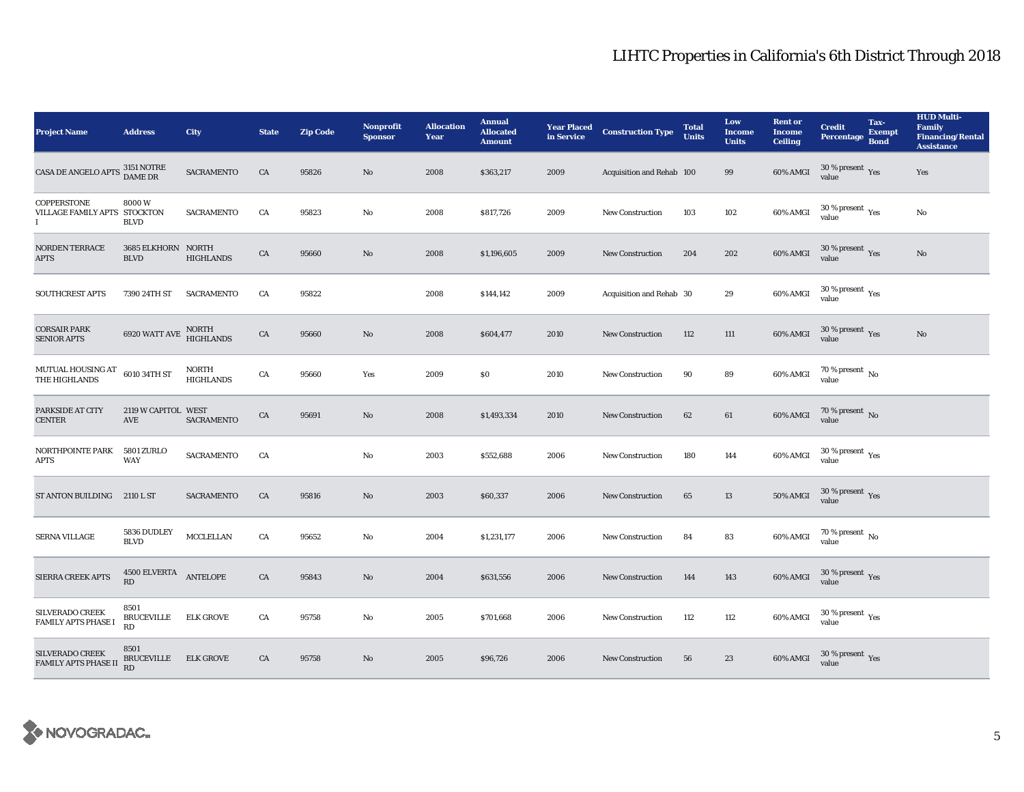| <b>Project Name</b>                              | <b>Address</b>                         | <b>City</b>                      | <b>State</b> | <b>Zip Code</b> | Nonprofit<br><b>Sponsor</b> | <b>Allocation</b><br>Year | <b>Annual</b><br><b>Allocated</b><br><b>Amount</b> | <b>Year Placed<br/>in Service</b> | <b>Construction Type</b>  | <b>Total</b><br><b>Units</b> | Low<br><b>Income</b><br><b>Units</b> | <b>Rent or</b><br><b>Income</b><br><b>Ceiling</b> | Credit<br>Percentage Bond                 | Tax-<br><b>Exempt</b> | <b>HUD Multi-</b><br><b>Family</b><br><b>Financing/Rental</b><br><b>Assistance</b> |
|--------------------------------------------------|----------------------------------------|----------------------------------|--------------|-----------------|-----------------------------|---------------------------|----------------------------------------------------|-----------------------------------|---------------------------|------------------------------|--------------------------------------|---------------------------------------------------|-------------------------------------------|-----------------------|------------------------------------------------------------------------------------|
| CASA DE ANGELO APTS $\frac{3151}{\rm DAME}$ DR   |                                        | SACRAMENTO                       | CA           | 95826           | No                          | 2008                      | \$363,217                                          | 2009                              | Acquisition and Rehab 100 |                              | 99                                   | 60% AMGI                                          | $30$ % present $\,$ $\rm Yes$<br>value    |                       | Yes                                                                                |
| COPPERSTONE<br>VILLAGE FAMILY APTS STOCKTON<br>L | 8000W<br><b>BLVD</b>                   | <b>SACRAMENTO</b>                | CA           | 95823           | No                          | 2008                      | \$817,726                                          | 2009                              | <b>New Construction</b>   | 103                          | 102                                  | 60% AMGI                                          | $30\ \%$ present $\ \ \gamma_{\rm e s}$   |                       | No                                                                                 |
| <b>NORDEN TERRACE</b><br><b>APTS</b>             | 3685 ELKHORN NORTH<br><b>BLVD</b>      | <b>HIGHLANDS</b>                 | CA           | 95660           | $\mathbf{N}\mathbf{o}$      | 2008                      | \$1,196,605                                        | 2009                              | <b>New Construction</b>   | 204                          | 202                                  | 60% AMGI                                          | $30\,\%$ present $\,$ $\rm Yes$<br>value  |                       | $\rm No$                                                                           |
| <b>SOUTHCREST APTS</b>                           | 7390 24TH ST                           | <b>SACRAMENTO</b>                | CA           | 95822           |                             | 2008                      | \$144,142                                          | 2009                              | Acquisition and Rehab 30  |                              | 29                                   | 60% AMGI                                          | $30$ % present $\,$ $\rm Yes$<br>value    |                       |                                                                                    |
| <b>CORSAIR PARK</b><br><b>SENIOR APTS</b>        | $6920\rm\,WATT\,AVE$                   | NORTH<br>HIGHLANDS               | CA           | 95660           | $\mathbf{N}\mathbf{o}$      | 2008                      | \$604,477                                          | 2010                              | <b>New Construction</b>   | 112                          | 111                                  | 60% AMGI                                          | $30\,\%$ present $\,\mathrm{Yes}$ value   |                       | $\rm No$                                                                           |
| MUTUAL HOUSING AT<br>THE HIGHLANDS               | 6010 34TH ST                           | <b>NORTH</b><br><b>HIGHLANDS</b> | CA           | 95660           | Yes                         | 2009                      | $\$0$                                              | 2010                              | <b>New Construction</b>   | 90                           | 89                                   | 60% AMGI                                          | $70$ % present $_{\rm{No}}$               |                       |                                                                                    |
| PARKSIDE AT CITY<br><b>CENTER</b>                | 2119 W CAPITOL WEST<br>AVE             | <b>SACRAMENTO</b>                | CA           | 95691           | No                          | 2008                      | \$1,493,334                                        | 2010                              | <b>New Construction</b>   | 62                           | 61                                   | 60% AMGI                                          | $70\,\%$ present $\,$ No value            |                       |                                                                                    |
| NORTHPOINTE PARK<br><b>APTS</b>                  | <b>5801 ZURLO</b><br>WAY               | SACRAMENTO                       | CA           |                 | No                          | 2003                      | \$552,688                                          | 2006                              | <b>New Construction</b>   | 180                          | 144                                  | $60\%$ AMGI                                       | $30\,\%$ present $\,$ $\rm{Yes}$<br>value |                       |                                                                                    |
| ST ANTON BUILDING 2110 L ST                      |                                        | <b>SACRAMENTO</b>                | CA           | 95816           | No                          | 2003                      | \$60,337                                           | 2006                              | <b>New Construction</b>   | 65                           | 13                                   | <b>50% AMGI</b>                                   | $30\,\%$ present $\,\mathrm{Yes}$ value   |                       |                                                                                    |
| SERNA VILLAGE                                    | 5836 DUDLEY<br><b>BLVD</b>             | MCCLELLAN                        | CA           | 95652           | No                          | 2004                      | \$1,231,177                                        | 2006                              | <b>New Construction</b>   | 84                           | 83                                   | 60% AMGI                                          | $70$ % present $\,$ No $\,$<br>value      |                       |                                                                                    |
| SIERRA CREEK APTS                                | $4500 \, {\rm ELVERTA}$ ANTELOPE<br>RD |                                  | CA           | 95843           | No                          | 2004                      | \$631,556                                          | 2006                              | <b>New Construction</b>   | 144                          | 143                                  | $60\%$ AMGI                                       | $30\,\%$ present $\,\mathrm{Yes}$ value   |                       |                                                                                    |
| SILVERADO CREEK<br><b>FAMILY APTS PHASE I</b>    | 8501<br><b>BRUCEVILLE</b><br>RD        | <b>ELK GROVE</b>                 | CA           | 95758           | No                          | 2005                      | \$701,668                                          | 2006                              | <b>New Construction</b>   | 112                          | 112                                  | 60% AMGI                                          | $30\,\%$ present $\,$ $\rm Yes$<br>value  |                       |                                                                                    |
| SILVERADO CREEK<br><b>FAMILY APTS PHASE II</b>   | 8501<br><b>BRUCEVILLE</b><br>RD        | <b>ELK GROVE</b>                 | CA           | 95758           | No                          | 2005                      | \$96,726                                           | 2006                              | <b>New Construction</b>   | 56                           | 23                                   | 60% AMGI                                          | $30$ % present $\,$ $\rm Yes$<br>value    |                       |                                                                                    |

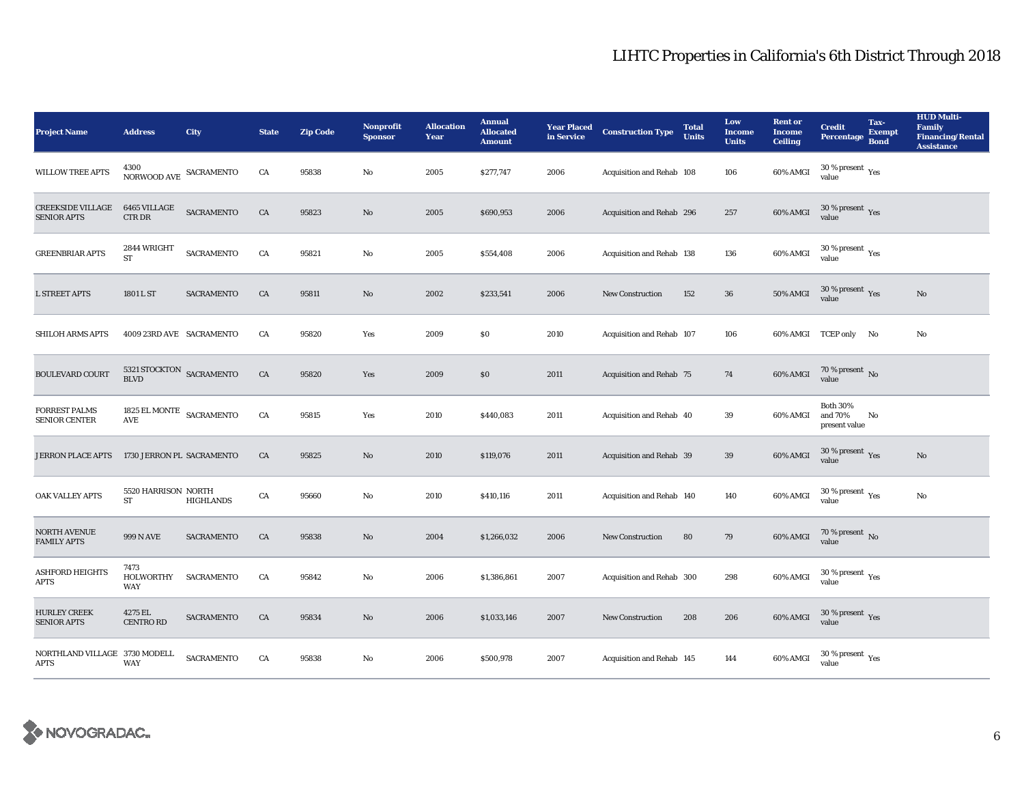| <b>Project Name</b>                            | <b>Address</b>                                                    | City              | <b>State</b> | <b>Zip Code</b> | <b>Nonprofit</b><br><b>Sponsor</b> | <b>Allocation</b><br>Year | <b>Annual</b><br><b>Allocated</b><br><b>Amount</b> | in Service | <b>Year Placed Construction Type</b> | <b>Total</b><br><b>Units</b> | Low<br><b>Income</b><br><b>Units</b> | <b>Rent or</b><br><b>Income</b><br><b>Ceiling</b> | <b>Credit</b><br>Percentage                 | Tax-<br><b>Exempt</b><br><b>Bond</b> | <b>HUD Multi-</b><br><b>Family</b><br><b>Financing/Rental</b><br><b>Assistance</b> |
|------------------------------------------------|-------------------------------------------------------------------|-------------------|--------------|-----------------|------------------------------------|---------------------------|----------------------------------------------------|------------|--------------------------------------|------------------------------|--------------------------------------|---------------------------------------------------|---------------------------------------------|--------------------------------------|------------------------------------------------------------------------------------|
| <b>WILLOW TREE APTS</b>                        | 4300<br>$\,$ NORWOOD AVE $\,$ SACRAMENTO                          |                   | CA           | 95838           | No                                 | 2005                      | \$277,747                                          | 2006       | Acquisition and Rehab 108            |                              | 106                                  | 60% AMGI                                          | $30$ % present $\,$ $\rm Yes$<br>value      |                                      |                                                                                    |
| <b>CREEKSIDE VILLAGE</b><br><b>SENIOR APTS</b> | 6465 VILLAGE<br>CTR DR                                            | <b>SACRAMENTO</b> | CA           | 95823           | No                                 | 2005                      | \$690,953                                          | 2006       | Acquisition and Rehab 296            |                              | 257                                  | 60% AMGI                                          | $30\,\%$ present $\,$ Yes value             |                                      |                                                                                    |
| <b>GREENBRIAR APTS</b>                         | 2844 WRIGHT<br><b>ST</b>                                          | <b>SACRAMENTO</b> | CA           | 95821           | $\rm No$                           | 2005                      | \$554,408                                          | 2006       | Acquisition and Rehab 138            |                              | 136                                  | 60% AMGI                                          | $30\,\%$ present $\,$ Yes value             |                                      |                                                                                    |
| <b>L STREET APTS</b>                           | 1801 L ST                                                         | <b>SACRAMENTO</b> | CA           | 95811           | $\mathbf{N}\mathbf{o}$             | 2002                      | \$233,541                                          | 2006       | New Construction                     | 152                          | ${\bf 36}$                           | <b>50% AMGI</b>                                   | $30\,\%$ present $\,$ Yes value             |                                      | No                                                                                 |
| SHILOH ARMS APTS                               | 4009 23RD AVE SACRAMENTO                                          |                   | CA           | 95820           | Yes                                | 2009                      | \$0                                                | 2010       | Acquisition and Rehab 107            |                              | 106                                  |                                                   | 60% AMGI TCEP only No                       |                                      | No                                                                                 |
| <b>BOULEVARD COURT</b>                         | $5321\,$ STOCKTON $$\sf SACRAMENTO$$                              |                   | ${\rm CA}$   | 95820           | Yes                                | 2009                      | \$0                                                | 2011       | Acquisition and Rehab 75             |                              | 74                                   | 60% AMGI                                          | $70$ % present $\,$ No value                |                                      |                                                                                    |
| <b>FORREST PALMS</b><br><b>SENIOR CENTER</b>   | 1825 EL MONTE $$\sf SACRAMENTO$$<br>$\operatorname{\mathsf{AVE}}$ |                   | CA           | 95815           | Yes                                | 2010                      | \$440,083                                          | 2011       | Acquisition and Rehab 40             |                              | 39                                   | 60% AMGI                                          | <b>Both 30%</b><br>and 70%<br>present value | No                                   |                                                                                    |
| <b>JERRON PLACE APTS</b>                       | 1730 JERRON PL SACRAMENTO                                         |                   | CA           | 95825           | $\mathbf{N}\mathbf{o}$             | 2010                      | \$119,076                                          | 2011       | Acquisition and Rehab 39             |                              | 39                                   | 60% AMGI                                          | $30\,\%$ present $\,$ Yes value             |                                      | $\mathbf{N}\mathbf{o}$                                                             |
| OAK VALLEY APTS                                | 5520 HARRISON NORTH<br>ST                                         | <b>HIGHLANDS</b>  | CA           | 95660           | No                                 | 2010                      | \$410,116                                          | 2011       | Acquisition and Rehab 140            |                              | 140                                  | 60% AMGI                                          | $30\,\%$ present $\,$ $\rm Yes$<br>value    |                                      | No                                                                                 |
| NORTH AVENUE<br><b>FAMILY APTS</b>             | 999 N AVE                                                         | <b>SACRAMENTO</b> | CA           | 95838           | $\mathbf{N}\mathbf{o}$             | 2004                      | \$1,266,032                                        | 2006       | New Construction                     | 80                           | 79                                   | 60% AMGI                                          | $70\,\%$ present $\,$ No value              |                                      |                                                                                    |
| <b>ASHFORD HEIGHTS</b><br><b>APTS</b>          | 7473<br>HOLWORTHY<br><b>WAY</b>                                   | <b>SACRAMENTO</b> | CA           | 95842           | $\mathbf{N}\mathbf{o}$             | 2006                      | \$1,386,861                                        | 2007       | Acquisition and Rehab 300            |                              | 298                                  | 60% AMGI                                          | $30\,\%$ present $\,\mathrm{Yes}$ value     |                                      |                                                                                    |
| <b>HURLEY CREEK</b><br><b>SENIOR APTS</b>      | 4275 EL<br><b>CENTRO RD</b>                                       | <b>SACRAMENTO</b> | CA           | 95834           | $\mathbf{N}\mathbf{o}$             | 2006                      | \$1,033,146                                        | 2007       | <b>New Construction</b>              | 208                          | 206                                  | 60% AMGI                                          | $30\,\%$ present $\,\mathrm{Yes}$ value     |                                      |                                                                                    |
| NORTHLAND VILLAGE 3730 MODELL<br><b>APTS</b>   | <b>WAY</b>                                                        | <b>SACRAMENTO</b> | CA           | 95838           | No                                 | 2006                      | \$500,978                                          | 2007       | Acquisition and Rehab 145            |                              | 144                                  | 60% AMGI                                          | $30\,\%$ present $\,$ $\rm Yes$<br>value    |                                      |                                                                                    |

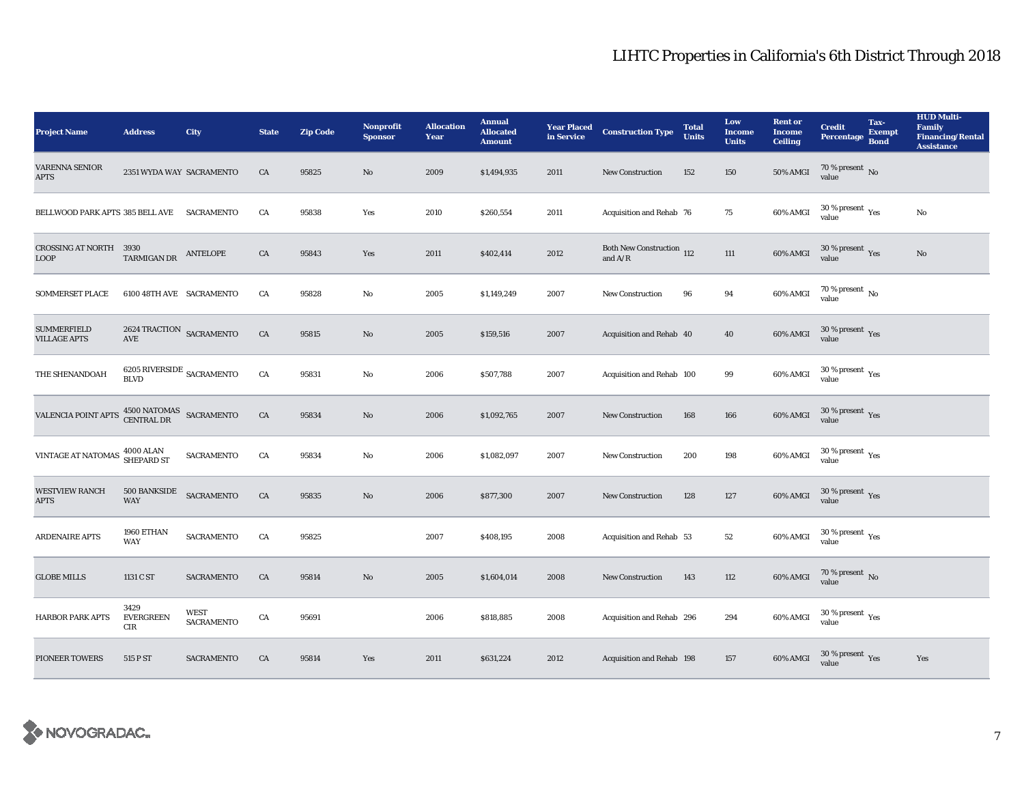| <b>Project Name</b>                        | <b>Address</b>                                 | City                             | <b>State</b> | <b>Zip Code</b> | <b>Nonprofit</b><br><b>Sponsor</b> | <b>Allocation</b><br>Year | <b>Annual</b><br><b>Allocated</b><br><b>Amount</b> | <b>Year Placed<br/>in Service</b> | <b>Construction Type</b>                                 | <b>Total</b><br><b>Units</b> | Low<br><b>Income</b><br><b>Units</b> | <b>Rent or</b><br><b>Income</b><br><b>Ceiling</b> | <b>Credit</b><br><b>Percentage</b>              | Tax-<br><b>Exempt</b><br><b>Bond</b> | <b>HUD Multi-</b><br><b>Family</b><br><b>Financing/Rental</b><br><b>Assistance</b> |
|--------------------------------------------|------------------------------------------------|----------------------------------|--------------|-----------------|------------------------------------|---------------------------|----------------------------------------------------|-----------------------------------|----------------------------------------------------------|------------------------------|--------------------------------------|---------------------------------------------------|-------------------------------------------------|--------------------------------------|------------------------------------------------------------------------------------|
| <b>VARENNA SENIOR</b><br><b>APTS</b>       | 2351 WYDA WAY SACRAMENTO                       |                                  | CA           | 95825           | No                                 | 2009                      | \$1,494,935                                        | 2011                              | New Construction                                         | 152                          | 150                                  | <b>50% AMGI</b>                                   | 70 % present $\hbox{~No}$<br>value              |                                      |                                                                                    |
| BELLWOOD PARK APTS 385 BELL AVE SACRAMENTO |                                                |                                  | CA           | 95838           | Yes                                | 2010                      | \$260,554                                          | 2011                              | Acquisition and Rehab 76                                 |                              | 75                                   | 60% AMGI                                          | $30$ % present $\,$ $\rm Yes$<br>value          |                                      | No                                                                                 |
| CROSSING AT NORTH 3930<br><b>LOOP</b>      | TARMIGAN DR                                    | ANTELOPE                         | ${\rm CA}$   | 95843           | Yes                                | 2011                      | \$402,414                                          | 2012                              | Both New Construction 112<br>and $\mathrm{A}/\mathrm{R}$ |                              | $111\,$                              | 60% AMGI                                          | $30\,\%$ present $\,\mathrm{Yes}$ value         |                                      | $\rm No$                                                                           |
| <b>SOMMERSET PLACE</b>                     | 6100 48TH AVE SACRAMENTO                       |                                  | CA           | 95828           | No                                 | 2005                      | \$1,149,249                                        | 2007                              | <b>New Construction</b>                                  | 96                           | 94                                   | 60% AMGI                                          | 70 % present $\,$ No $\,$<br>value              |                                      |                                                                                    |
| <b>SUMMERFIELD</b><br><b>VILLAGE APTS</b>  | 2624 TRACTION SACRAMENTO<br>AVE                |                                  | ${\rm CA}$   | 95815           | No                                 | 2005                      | \$159,516                                          | 2007                              | Acquisition and Rehab 40                                 |                              | 40                                   | 60% AMGI                                          | $30\,\%$ present $\,$ Yes value                 |                                      |                                                                                    |
| THE SHENANDOAH                             | $6205$ $\rm RIVERSIDE$ $\rm SACRAMEND$         |                                  | ${\rm CA}$   | 95831           | No                                 | 2006                      | \$507,788                                          | 2007                              | Acquisition and Rehab 100                                |                              | 99                                   | 60% AMGI                                          | $30\,\%$ present $\,\mathrm{Yes}$ value         |                                      |                                                                                    |
| VALENCIA POINT APTS                        | $4500\,\mathrm{NATOMAS}$ SACRAMENTO CENTRAL DR |                                  | ${\rm CA}$   | 95834           | No                                 | 2006                      | \$1,092,765                                        | 2007                              | New Construction                                         | 168                          | 166                                  | 60% AMGI                                          | $30\,\%$ present $\,\mathrm{Yes}$ value         |                                      |                                                                                    |
| VINTAGE AT NATOMAS 4000 ALAN               |                                                | <b>SACRAMENTO</b>                | CA           | 95834           | $\mathbf{No}$                      | 2006                      | \$1,082,097                                        | 2007                              | <b>New Construction</b>                                  | 200                          | 198                                  | 60% AMGI                                          | $30\,\%$ present $\rm\thinspace_{Yes}$<br>value |                                      |                                                                                    |
| <b>WESTVIEW RANCH</b><br><b>APTS</b>       | 500 BANKSIDE<br><b>WAY</b>                     | SACRAMENTO                       | ${\rm CA}$   | 95835           | No                                 | 2006                      | \$877,300                                          | 2007                              | New Construction                                         | 128                          | 127                                  | 60% AMGI                                          | $30\,\%$ present $\,\mathrm{Yes}$ value         |                                      |                                                                                    |
| ARDENAIRE APTS                             | 1960 ETHAN<br><b>WAY</b>                       | <b>SACRAMENTO</b>                | CA           | 95825           |                                    | 2007                      | \$408,195                                          | 2008                              | Acquisition and Rehab 53                                 |                              | $52\,$                               | 60% AMGI                                          | $30\,\%$ present $\,$ $\rm{Yes}$<br>value       |                                      |                                                                                    |
| <b>GLOBE MILLS</b>                         | 1131 C ST                                      | SACRAMENTO                       | CA           | 95814           | No                                 | 2005                      | \$1,604,014                                        | 2008                              | <b>New Construction</b>                                  | 143                          | 112                                  | 60% AMGI                                          | $70\,\%$ present $_{\rm{No}}$                   |                                      |                                                                                    |
| <b>HARBOR PARK APTS</b>                    | 3429<br><b>EVERGREEN</b><br>CIR                | <b>WEST</b><br><b>SACRAMENTO</b> | CA           | 95691           |                                    | 2006                      | \$818,885                                          | 2008                              | Acquisition and Rehab 296                                |                              | 294                                  | 60% AMGI                                          | $30\,\%$ present $\,$ $\rm Yes$<br>value        |                                      |                                                                                    |
| <b>PIONEER TOWERS</b>                      | 515 P ST                                       | <b>SACRAMENTO</b>                | CA           | 95814           | Yes                                | 2011                      | \$631,224                                          | 2012                              | Acquisition and Rehab 198                                |                              | 157                                  | 60% AMGI                                          | $30\,\%$ present $\,$ $\rm Yes$<br>value        |                                      | Yes                                                                                |

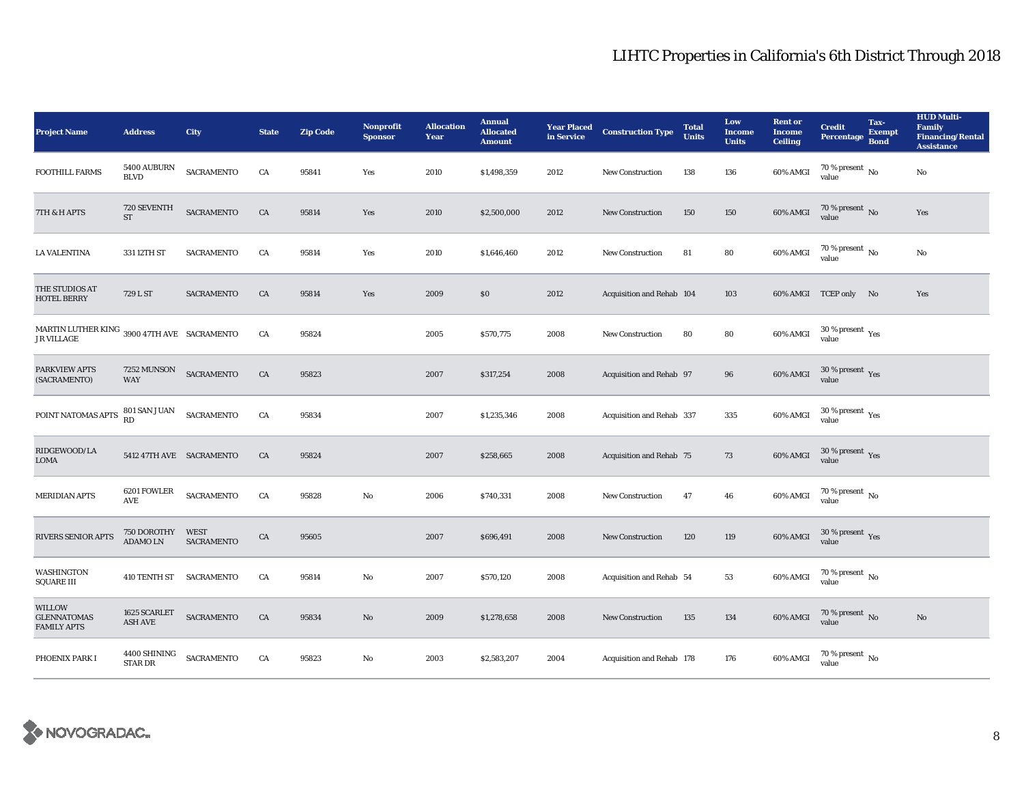| <b>Project Name</b>                                              | <b>Address</b>                 | <b>City</b>                      | <b>State</b> | <b>Zip Code</b> | <b>Nonprofit</b><br><b>Sponsor</b> | <b>Allocation</b><br>Year | <b>Annual</b><br><b>Allocated</b><br><b>Amount</b> | <b>Year Placed</b><br>in Service | <b>Construction Type</b>  | <b>Total</b><br><b>Units</b> | Low<br><b>Income</b><br><b>Units</b> | <b>Rent or</b><br><b>Income</b><br><b>Ceiling</b> | <b>Credit</b><br><b>Percentage</b>         | Tax-<br><b>Exempt</b><br><b>Bond</b> | <b>HUD Multi-</b><br><b>Family</b><br><b>Financing/Rental</b><br><b>Assistance</b> |
|------------------------------------------------------------------|--------------------------------|----------------------------------|--------------|-----------------|------------------------------------|---------------------------|----------------------------------------------------|----------------------------------|---------------------------|------------------------------|--------------------------------------|---------------------------------------------------|--------------------------------------------|--------------------------------------|------------------------------------------------------------------------------------|
| <b>FOOTHILL FARMS</b>                                            | 5400 AUBURN<br><b>BLVD</b>     | SACRAMENTO                       | CA           | 95841           | Yes                                | 2010                      | \$1,498,359                                        | 2012                             | <b>New Construction</b>   | 138                          | 136                                  | 60% AMGI                                          | 70 % present $\,$ No $\,$<br>value         |                                      | No                                                                                 |
| 7TH & H APTS                                                     | 720 SEVENTH<br>$ST$            | <b>SACRAMENTO</b>                | CA           | 95814           | Yes                                | 2010                      | \$2,500,000                                        | 2012                             | <b>New Construction</b>   | 150                          | 150                                  | 60% AMGI                                          | $70$ % present $\,$ No value               |                                      | Yes                                                                                |
| <b>LA VALENTINA</b>                                              | 331 12TH ST                    | <b>SACRAMENTO</b>                | CA           | 95814           | Yes                                | 2010                      | \$1,646,460                                        | 2012                             | <b>New Construction</b>   | 81                           | 80                                   | 60% AMGI                                          | $70$ % present $\,$ No value               |                                      | $_{\rm No}$                                                                        |
| THE STUDIOS AT<br><b>HOTEL BERRY</b>                             | 729 L ST                       | <b>SACRAMENTO</b>                | CA           | 95814           | Yes                                | 2009                      | $\$0$                                              | 2012                             | Acquisition and Rehab 104 |                              | 103                                  |                                                   | 60% AMGI TCEP only No                      |                                      | Yes                                                                                |
| MARTIN LUTHER KING 3900 47TH AVE SACRAMENTO<br><b>JR VILLAGE</b> |                                |                                  | CA           | 95824           |                                    | 2005                      | \$570,775                                          | 2008                             | <b>New Construction</b>   | 80                           | 80                                   | 60% AMGI                                          | $30\,\%$ present $\,\mathrm{Yes}$ value    |                                      |                                                                                    |
| PARKVIEW APTS<br>(SACRAMENTO)                                    | 7252 MUNSON<br><b>WAY</b>      | <b>SACRAMENTO</b>                | CA           | 95823           |                                    | 2007                      | \$317,254                                          | 2008                             | Acquisition and Rehab 97  |                              | 96                                   | 60% AMGI                                          | $30\,\%$ present $\,$ Yes value            |                                      |                                                                                    |
| POINT NATOMAS APTS                                               | 801 SAN JUAN<br>RD             | SACRAMENTO                       | CA           | 95834           |                                    | 2007                      | \$1,235,346                                        | 2008                             | Acquisition and Rehab 337 |                              | 335                                  | 60% AMGI                                          | $30\,\%$ present $\,$ $\rm Yes$<br>value   |                                      |                                                                                    |
| RIDGEWOOD/LA<br><b>LOMA</b>                                      | 5412 47TH AVE SACRAMENTO       |                                  | CA           | 95824           |                                    | 2007                      | \$258,665                                          | 2008                             | Acquisition and Rehab 75  |                              | 73                                   | 60% AMGI                                          | $30\,\%$ present $\,\mathrm{Yes}$<br>value |                                      |                                                                                    |
| <b>MERIDIAN APTS</b>                                             | 6201 FOWLER<br>AVE             | SACRAMENTO                       | CA           | 95828           | No                                 | 2006                      | \$740,331                                          | 2008                             | New Construction          | 47                           | 46                                   | 60% AMGI                                          | $70$ % present $\,$ $_{\rm No}$<br>value   |                                      |                                                                                    |
| RIVERS SENIOR APTS                                               | 750 DOROTHY<br>ADAMO LN        | <b>WEST</b><br><b>SACRAMENTO</b> | CA           | 95605           |                                    | 2007                      | \$696,491                                          | 2008                             | <b>New Construction</b>   | 120                          | 119                                  | 60% AMGI                                          | $30\,\%$ present $\,\mathrm{Yes}$ value    |                                      |                                                                                    |
| <b>WASHINGTON</b><br><b>SQUARE III</b>                           | 410 TENTH ST SACRAMENTO        |                                  | CA           | 95814           | No                                 | 2007                      | \$570,120                                          | 2008                             | Acquisition and Rehab 54  |                              | 53                                   | 60% AMGI                                          | $70$ % present $\,$ No $\,$<br>value       |                                      |                                                                                    |
| <b>WILLOW</b><br><b>GLENNATOMAS</b><br><b>FAMILY APTS</b>        | 1625 SCARLET<br><b>ASH AVE</b> | <b>SACRAMENTO</b>                | CA           | 95834           | No                                 | 2009                      | \$1,278,658                                        | 2008                             | <b>New Construction</b>   | 135                          | 134                                  | 60% AMGI                                          | $70\,\%$ present $\,$ No value             |                                      | No                                                                                 |
| PHOENIX PARK I                                                   | 4400 SHINING<br><b>STAR DR</b> | <b>SACRAMENTO</b>                | CA           | 95823           | No                                 | 2003                      | \$2,583,207                                        | 2004                             | Acquisition and Rehab 178 |                              | 176                                  | 60% AMGI                                          | $70\,\%$ present $\,$ No value             |                                      |                                                                                    |

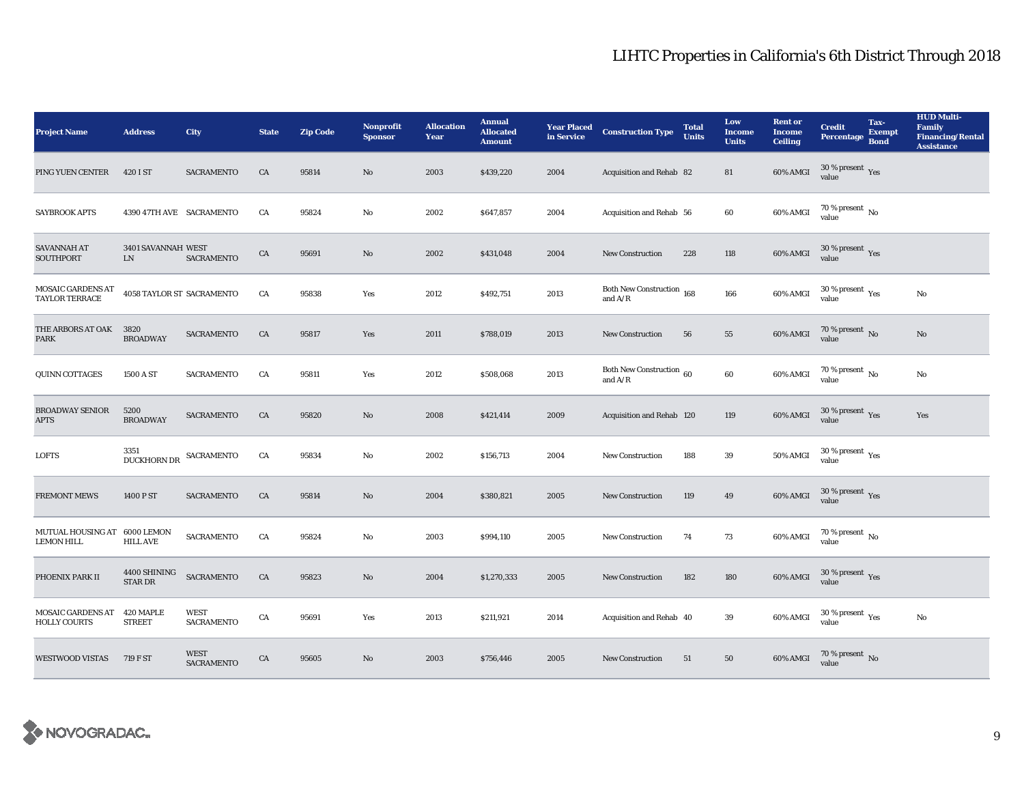| <b>Project Name</b>                               | <b>Address</b>             | City                             | <b>State</b> | <b>Zip Code</b> | <b>Nonprofit</b><br><b>Sponsor</b> | <b>Allocation</b><br>Year | <b>Annual</b><br><b>Allocated</b><br><b>Amount</b> | <b>Year Placed<br/>in Service</b> | <b>Construction Type</b>               | <b>Total</b><br><b>Units</b> | Low<br><b>Income</b><br><b>Units</b> | <b>Rent or</b><br><b>Income</b><br><b>Ceiling</b> | <b>Credit</b><br><b>Percentage</b>       | Tax-<br><b>Exempt</b><br><b>Bond</b> | <b>HUD Multi-</b><br><b>Family</b><br><b>Financing/Rental</b><br><b>Assistance</b> |
|---------------------------------------------------|----------------------------|----------------------------------|--------------|-----------------|------------------------------------|---------------------------|----------------------------------------------------|-----------------------------------|----------------------------------------|------------------------------|--------------------------------------|---------------------------------------------------|------------------------------------------|--------------------------------------|------------------------------------------------------------------------------------|
| PING YUEN CENTER                                  | 420 I ST                   | <b>SACRAMENTO</b>                | CA           | 95814           | $\mathbf{No}$                      | 2003                      | \$439,220                                          | 2004                              | Acquisition and Rehab 82               |                              | 81                                   | 60% AMGI                                          | $30$ % present $\,$ $\rm Yes$<br>value   |                                      |                                                                                    |
| <b>SAYBROOK APTS</b>                              | 4390 47TH AVE SACRAMENTO   |                                  | CA           | 95824           | $\mathbf{No}$                      | 2002                      | \$647,857                                          | 2004                              | Acquisition and Rehab 56               |                              | 60                                   | 60% AMGI                                          | $70\,\%$ present $\,$ No value           |                                      |                                                                                    |
| SAVANNAH AT<br>SOUTHPORT                          | 3401 SAVANNAH WEST<br>LN   | SACRAMENTO                       | ${\rm CA}$   | 95691           | $\mathbf{N}\mathbf{o}$             | 2002                      | \$431,048                                          | 2004                              | <b>New Construction</b>                | 228                          | 118                                  | 60% AMGI                                          | $30\,\%$ present $\,\mathrm{Yes}$ value  |                                      |                                                                                    |
| MOSAIC GARDENS AT<br><b>TAYLOR TERRACE</b>        | 4058 TAYLOR ST SACRAMENTO  |                                  | CA           | 95838           | Yes                                | 2012                      | \$492,751                                          | 2013                              | Both New Construction 168<br>and $A/R$ |                              | 166                                  | 60% AMGI                                          | $30$ % present $\,$ $\rm Yes$<br>value   |                                      | $\rm No$                                                                           |
| THE ARBORS AT OAK<br><b>PARK</b>                  | 3820<br><b>BROADWAY</b>    | <b>SACRAMENTO</b>                | CA           | 95817           | Yes                                | 2011                      | \$788,019                                          | 2013                              | <b>New Construction</b>                | 56                           | 55                                   | 60% AMGI                                          | $70$ % present $\,$ No value             |                                      | No                                                                                 |
| QUINN COTTAGES                                    | 1500 A ST                  | SACRAMENTO                       | CA           | 95811           | Yes                                | 2012                      | \$508,068                                          | 2013                              | Both New Construction 60<br>and $A/R$  |                              | 60                                   | 60% AMGI                                          | $70$ % present $\,$ No $\,$<br>value     |                                      | $_{\rm No}$                                                                        |
| <b>BROADWAY SENIOR</b><br><b>APTS</b>             | 5200<br><b>BROADWAY</b>    | <b>SACRAMENTO</b>                | CA           | 95820           | $\mathbf{N}\mathbf{o}$             | 2008                      | \$421,414                                          | 2009                              | Acquisition and Rehab 120              |                              | 119                                  | 60% AMGI                                          | $30\,\%$ present $\,\mathrm{Yes}$ value  |                                      | Yes                                                                                |
| <b>LOFTS</b>                                      | 3351<br><b>DUCKHORN DR</b> | SACRAMENTO                       | CA           | 95834           | No                                 | 2002                      | \$156,713                                          | 2004                              | New Construction                       | 188                          | 39                                   | 50% AMGI                                          | $30\,\%$ present $\,\mathrm{Yes}$ value  |                                      |                                                                                    |
| <b>FREMONT MEWS</b>                               | 1400 P ST                  | <b>SACRAMENTO</b>                | CA           | 95814           | $\mathbf{N}\mathbf{o}$             | 2004                      | \$380,821                                          | 2005                              | <b>New Construction</b>                | 119                          | 49                                   | 60% AMGI                                          | $30\,\%$ present $\,\mathrm{Yes}$ value  |                                      |                                                                                    |
| MUTUAL HOUSING AT 6000 LEMON<br><b>LEMON HILL</b> | <b>HILL AVE</b>            | <b>SACRAMENTO</b>                | CA           | 95824           | No                                 | 2003                      | \$994,110                                          | 2005                              | New Construction                       | 74                           | 73                                   | 60% AMGI                                          | 70 % present $\,$ No $\,$<br>value       |                                      |                                                                                    |
| PHOENIX PARK II                                   | 4400 SHINING<br>STAR DR    | <b>SACRAMENTO</b>                | CA           | 95823           | No                                 | 2004                      | \$1,270,333                                        | 2005                              | <b>New Construction</b>                | 182                          | 180                                  | 60% AMGI                                          | $30\,\%$ present $\,$ Yes value          |                                      |                                                                                    |
| <b>MOSAIC GARDENS AT</b><br><b>HOLLY COURTS</b>   | 420 MAPLE<br><b>STREET</b> | <b>WEST</b><br><b>SACRAMENTO</b> | CA           | 95691           | Yes                                | 2013                      | \$211,921                                          | 2014                              | Acquisition and Rehab 40               |                              | 39                                   | 60% AMGI                                          | $30\,\%$ present $\,$ $\rm Yes$<br>value |                                      | $\rm No$                                                                           |
| <b>WESTWOOD VISTAS</b>                            | 719 F ST                   | <b>WEST</b><br><b>SACRAMENTO</b> | CA           | 95605           | No                                 | 2003                      | \$756,446                                          | 2005                              | <b>New Construction</b>                | 51                           | 50                                   | 60% AMGI                                          | $70\,\%$ present $\,$ No value           |                                      |                                                                                    |

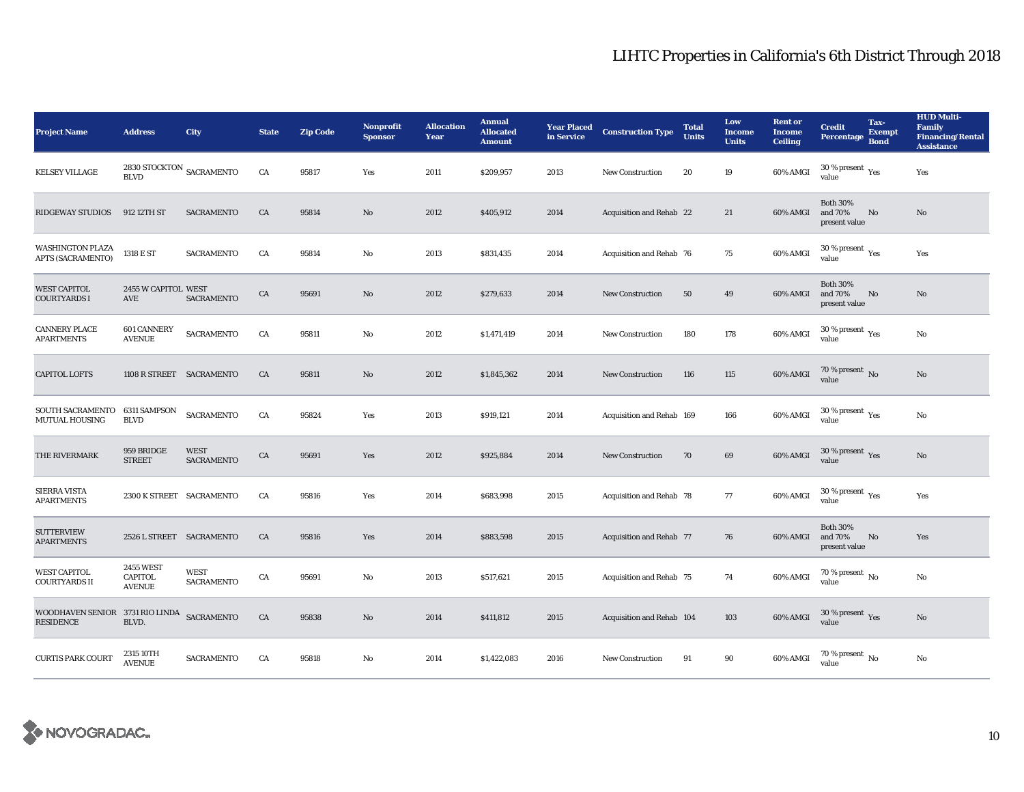| <b>Project Name</b>                                 | <b>Address</b>                                      | City                             | <b>State</b> | <b>Zip Code</b> | <b>Nonprofit</b><br><b>Sponsor</b> | <b>Allocation</b><br>Year | <b>Annual</b><br><b>Allocated</b><br><b>Amount</b> | <b>Year Placed<br/>in Service</b> | <b>Construction Type</b>  | <b>Total</b><br><b>Units</b> | Low<br>Income<br><b>Units</b> | <b>Rent or</b><br><b>Income</b><br><b>Ceiling</b> | <b>Credit</b><br><b>Percentage</b>              | Tax-<br><b>Exempt</b><br><b>Bond</b> | <b>HUD Multi-</b><br>Family<br><b>Financing/Rental</b><br><b>Assistance</b> |
|-----------------------------------------------------|-----------------------------------------------------|----------------------------------|--------------|-----------------|------------------------------------|---------------------------|----------------------------------------------------|-----------------------------------|---------------------------|------------------------------|-------------------------------|---------------------------------------------------|-------------------------------------------------|--------------------------------------|-----------------------------------------------------------------------------|
| <b>KELSEY VILLAGE</b>                               | 2830 STOCKTON $_{\mbox{SACRAMENTO}}$<br><b>BLVD</b> |                                  | CA           | 95817           | Yes                                | 2011                      | \$209,957                                          | 2013                              | New Construction          | 20                           | 19                            | 60% AMGI                                          | $30$ % present $\,$ $\rm Yes$<br>value          |                                      | Yes                                                                         |
| <b>RIDGEWAY STUDIOS</b>                             | 912 12TH ST                                         | <b>SACRAMENTO</b>                | CA           | 95814           | No                                 | 2012                      | \$405,912                                          | 2014                              | Acquisition and Rehab 22  |                              | 21                            | 60% AMGI                                          | <b>Both 30%</b><br>and 70%<br>present value     | $\mathbf{N}\mathbf{o}$               | $\mathbf{N}\mathbf{o}$                                                      |
| <b>WASHINGTON PLAZA</b><br><b>APTS (SACRAMENTO)</b> | 1318 E ST                                           | <b>SACRAMENTO</b>                | CA           | 95814           | No                                 | 2013                      | \$831,435                                          | 2014                              | Acquisition and Rehab 76  |                              | 75                            | 60% AMGI                                          | $30\,\%$ present $\,\mathrm{Yes}$ value         |                                      | Yes                                                                         |
| <b>WEST CAPITOL</b><br><b>COURTYARDS I</b>          | 2455 W CAPITOL WEST<br>AVE                          | <b>SACRAMENTO</b>                | ${\rm CA}$   | 95691           | No                                 | 2012                      | \$279,633                                          | 2014                              | <b>New Construction</b>   | 50                           | 49                            | 60% AMGI                                          | <b>Both 30%</b><br>and 70%<br>present value     | No                                   | No                                                                          |
| <b>CANNERY PLACE</b><br><b>APARTMENTS</b>           | <b>601 CANNERY</b><br><b>AVENUE</b>                 | <b>SACRAMENTO</b>                | CA           | 95811           | No                                 | 2012                      | \$1,471,419                                        | 2014                              | <b>New Construction</b>   | 180                          | 178                           | 60% AMGI                                          | $30\,\%$ present $\rm\thinspace_{Yes}$<br>value |                                      | No                                                                          |
| <b>CAPITOL LOFTS</b>                                | 1108 R STREET SACRAMENTO                            |                                  | CA           | 95811           | No                                 | 2012                      | \$1,845,362                                        | 2014                              | <b>New Construction</b>   | 116                          | 115                           | 60% AMGI                                          | $70$ % present $\,$ No value                    |                                      | $\mathbf{N}\mathbf{o}$                                                      |
| SOUTH SACRAMENTO<br>MUTUAL HOUSING                  | 6311 SAMPSON<br><b>BLVD</b>                         | <b>SACRAMENTO</b>                | CA           | 95824           | Yes                                | 2013                      | \$919,121                                          | 2014                              | Acquisition and Rehab 169 |                              | 166                           | 60% AMGI                                          | $30\,\%$ present $\rm\thinspace_{Yes}$<br>value |                                      | $_{\rm No}$                                                                 |
| THE RIVERMARK                                       | 959 BRIDGE<br><b>STREET</b>                         | <b>WEST</b><br><b>SACRAMENTO</b> | CA           | 95691           | Yes                                | 2012                      | \$925,884                                          | 2014                              | <b>New Construction</b>   | 70                           | 69                            | 60% AMGI                                          | $30\,\%$ present $\,\mathrm{Yes}$ value         |                                      | No                                                                          |
| <b>SIERRA VISTA</b><br><b>APARTMENTS</b>            | 2300 K STREET SACRAMENTO                            |                                  | CA           | 95816           | Yes                                | 2014                      | \$683,998                                          | 2015                              | Acquisition and Rehab 78  |                              | 77                            | 60% AMGI                                          | $30\,\%$ present $\,\mathrm{Yes}$ value         |                                      | Yes                                                                         |
| <b>SUTTERVIEW</b><br><b>APARTMENTS</b>              | 2526 L STREET SACRAMENTO                            |                                  | CA           | 95816           | Yes                                | 2014                      | \$883,598                                          | 2015                              | Acquisition and Rehab 77  |                              | 76                            | 60% AMGI                                          | <b>Both 30%</b><br>and 70%<br>present value     | $\mathbf{N}\mathbf{o}$               | Yes                                                                         |
| <b>WEST CAPITOL</b><br><b>COURTYARDS II</b>         | <b>2455 WEST</b><br><b>CAPITOL</b><br><b>AVENUE</b> | <b>WEST</b><br><b>SACRAMENTO</b> | CA           | 95691           | No                                 | 2013                      | \$517,621                                          | 2015                              | Acquisition and Rehab 75  |                              | 74                            | 60% AMGI                                          | $70\,\%$ present $\,$ No value                  |                                      | $\rm No$                                                                    |
| WOODHAVEN SENIOR 3731 RIO LINDA<br><b>RESIDENCE</b> | BLVD.                                               | SACRAMENTO                       | CA           | 95838           | No                                 | 2014                      | \$411,812                                          | 2015                              | Acquisition and Rehab 104 |                              | 103                           | 60% AMGI                                          | $30$ % present $\,$ $\rm Yes$<br>value          |                                      | No                                                                          |
| <b>CURTIS PARK COURT</b>                            | 2315 10TH<br><b>AVENUE</b>                          | <b>SACRAMENTO</b>                | CA           | 95818           | $\mathbf{No}$                      | 2014                      | \$1,422,083                                        | 2016                              | <b>New Construction</b>   | 91                           | 90                            | 60% AMGI                                          | 70 % present $\,$ No $\,$<br>value              |                                      | No                                                                          |